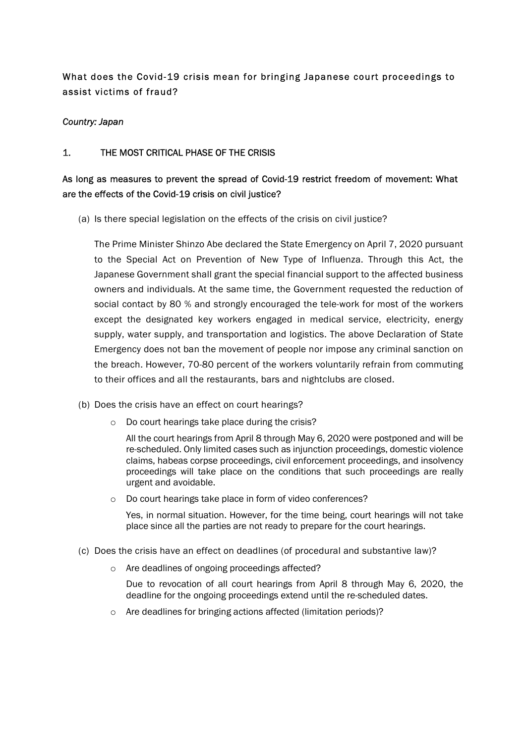# What does the Covid-19 crisis mean for bringing Japanese court proceedings to assist victims of fraud?

#### Country: Japan

#### 1. THE MOST CRITICAL PHASE OF THE CRISIS

## As long as measures to prevent the spread of Covid-19 restrict freedom of movement: What are the effects of the Covid-19 crisis on civil justice?

(a) Is there special legislation on the effects of the crisis on civil justice?

The Prime Minister Shinzo Abe declared the State Emergency on April 7, 2020 pursuant to the Special Act on Prevention of New Type of Influenza. Through this Act, the Japanese Government shall grant the special financial support to the affected business owners and individuals. At the same time, the Government requested the reduction of social contact by 80 % and strongly encouraged the tele-work for most of the workers except the designated key workers engaged in medical service, electricity, energy supply, water supply, and transportation and logistics. The above Declaration of State Emergency does not ban the movement of people nor impose any criminal sanction on the breach. However, 70-80 percent of the workers voluntarily refrain from commuting to their offices and all the restaurants, bars and nightclubs are closed.

- (b) Does the crisis have an effect on court hearings?
	- o Do court hearings take place during the crisis?

All the court hearings from April 8 through May 6, 2020 were postponed and will be re-scheduled. Only limited cases such as injunction proceedings, domestic violence claims, habeas corpse proceedings, civil enforcement proceedings, and insolvency proceedings will take place on the conditions that such proceedings are really urgent and avoidable.

o Do court hearings take place in form of video conferences?

Yes, in normal situation. However, for the time being, court hearings will not take place since all the parties are not ready to prepare for the court hearings.

- (c) Does the crisis have an effect on deadlines (of procedural and substantive law)?
	- o Are deadlines of ongoing proceedings affected?

Due to revocation of all court hearings from April 8 through May 6, 2020, the deadline for the ongoing proceedings extend until the re-scheduled dates.

o Are deadlines for bringing actions affected (limitation periods)?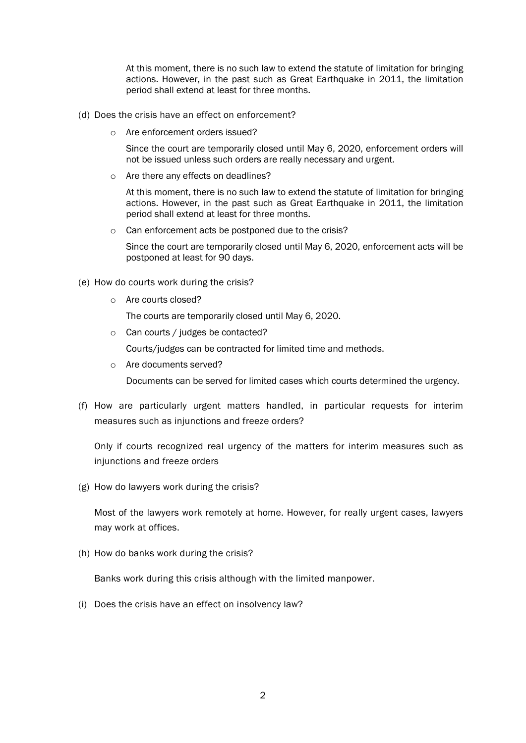At this moment, there is no such law to extend the statute of limitation for bringing actions. However, in the past such as Great Earthquake in 2011, the limitation period shall extend at least for three months.

- (d) Does the crisis have an effect on enforcement?
	- o Are enforcement orders issued?

Since the court are temporarily closed until May 6, 2020, enforcement orders will not be issued unless such orders are really necessary and urgent.

o Are there any effects on deadlines?

At this moment, there is no such law to extend the statute of limitation for bringing actions. However, in the past such as Great Earthquake in 2011, the limitation period shall extend at least for three months.

o Can enforcement acts be postponed due to the crisis?

Since the court are temporarily closed until May 6, 2020, enforcement acts will be postponed at least for 90 days.

- (e) How do courts work during the crisis?
	- o Are courts closed?

The courts are temporarily closed until May 6, 2020.

o Can courts / judges be contacted?

Courts/judges can be contracted for limited time and methods.

o Are documents served?

Documents can be served for limited cases which courts determined the urgency.

(f) How are particularly urgent matters handled, in particular requests for interim measures such as injunctions and freeze orders?

Only if courts recognized real urgency of the matters for interim measures such as injunctions and freeze orders

(g) How do lawyers work during the crisis?

Most of the lawyers work remotely at home. However, for really urgent cases, lawyers may work at offices.

(h) How do banks work during the crisis?

Banks work during this crisis although with the limited manpower.

(i) Does the crisis have an effect on insolvency law?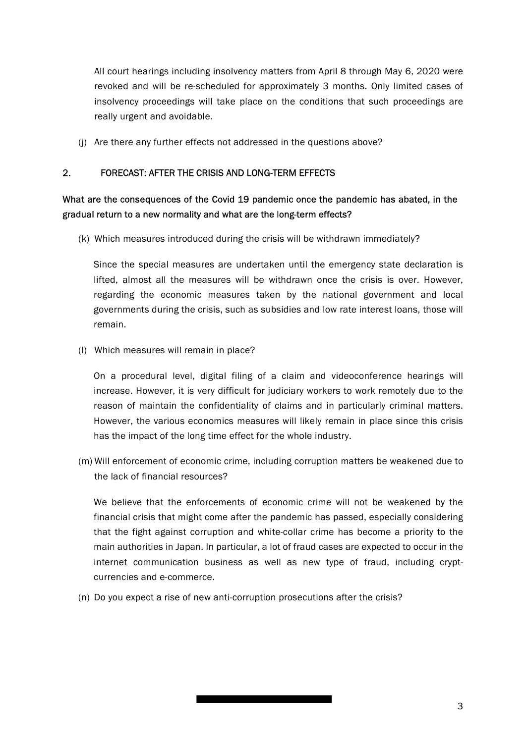All court hearings including insolvency matters from April 8 through May 6, 2020 were revoked and will be re-scheduled for approximately 3 months. Only limited cases of insolvency proceedings will take place on the conditions that such proceedings are really urgent and avoidable.

(j) Are there any further effects not addressed in the questions above?

### 2. FORECAST: AFTER THE CRISIS AND LONG-TERM EFFECTS

## What are the consequences of the Covid 19 pandemic once the pandemic has abated, in the gradual return to a new normality and what are the long-term effects?

(k) Which measures introduced during the crisis will be withdrawn immediately?

Since the special measures are undertaken until the emergency state declaration is lifted, almost all the measures will be withdrawn once the crisis is over. However, regarding the economic measures taken by the national government and local governments during the crisis, such as subsidies and low rate interest loans, those will remain.

(l) Which measures will remain in place?

On a procedural level, digital filing of a claim and videoconference hearings will increase. However, it is very difficult for judiciary workers to work remotely due to the reason of maintain the confidentiality of claims and in particularly criminal matters. However, the various economics measures will likely remain in place since this crisis has the impact of the long time effect for the whole industry.

(m) Will enforcement of economic crime, including corruption matters be weakened due to the lack of financial resources?

We believe that the enforcements of economic crime will not be weakened by the financial crisis that might come after the pandemic has passed, especially considering that the fight against corruption and white-collar crime has become a priority to the main authorities in Japan. In particular, a lot of fraud cases are expected to occur in the internet communication business as well as new type of fraud, including cryptcurrencies and e-commerce.

(n) Do you expect a rise of new anti-corruption prosecutions after the crisis?